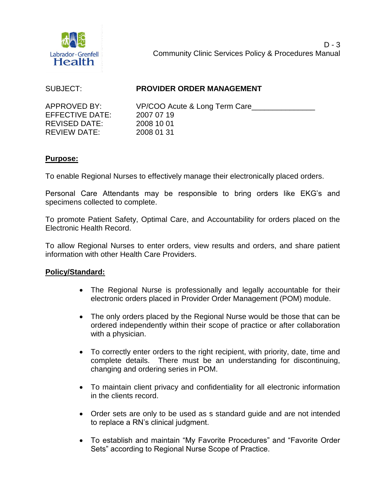

### SUBJECT: **PROVIDER ORDER MANAGEMENT**

EFFECTIVE DATE: 2007 07 19 REVISED DATE: 2008 10 01 REVIEW DATE: 2008 01 31

APPROVED BY: VP/COO Acute & Long Term Care

# **Purpose:**

To enable Regional Nurses to effectively manage their electronically placed orders.

Personal Care Attendants may be responsible to bring orders like EKG's and specimens collected to complete.

To promote Patient Safety, Optimal Care, and Accountability for orders placed on the Electronic Health Record.

To allow Regional Nurses to enter orders, view results and orders, and share patient information with other Health Care Providers.

# **Policy/Standard:**

- The Regional Nurse is professionally and legally accountable for their electronic orders placed in Provider Order Management (POM) module.
- The only orders placed by the Regional Nurse would be those that can be ordered independently within their scope of practice or after collaboration with a physician.
- To correctly enter orders to the right recipient, with priority, date, time and complete details. There must be an understanding for discontinuing, changing and ordering series in POM.
- To maintain client privacy and confidentiality for all electronic information in the clients record.
- Order sets are only to be used as s standard guide and are not intended to replace a RN's clinical judgment.
- To establish and maintain "My Favorite Procedures" and "Favorite Order Sets" according to Regional Nurse Scope of Practice.